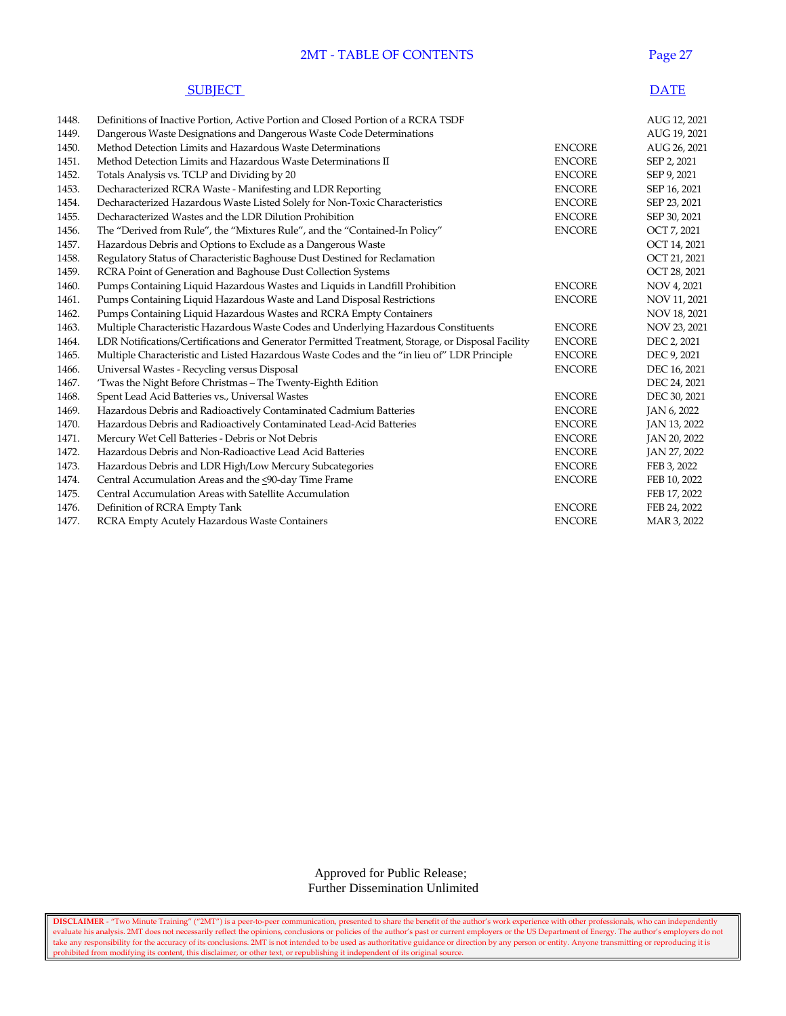## 2MT - TABLE OF CONTENTS Page 27

| <b>SUBIECT</b> | <b>DATE</b> |
|----------------|-------------|
|----------------|-------------|

| 1448. | Definitions of Inactive Portion, Active Portion and Closed Portion of a RCRA TSDF                 |               | AUG 12, 2021 |
|-------|---------------------------------------------------------------------------------------------------|---------------|--------------|
| 1449. | Dangerous Waste Designations and Dangerous Waste Code Determinations                              |               | AUG 19, 2021 |
| 1450. | Method Detection Limits and Hazardous Waste Determinations                                        | <b>ENCORE</b> | AUG 26, 2021 |
| 1451. | Method Detection Limits and Hazardous Waste Determinations II                                     | <b>ENCORE</b> | SEP 2, 2021  |
| 1452. | Totals Analysis vs. TCLP and Dividing by 20                                                       | <b>ENCORE</b> | SEP 9, 2021  |
| 1453. | Decharacterized RCRA Waste - Manifesting and LDR Reporting                                        | <b>ENCORE</b> | SEP 16, 2021 |
| 1454. | Decharacterized Hazardous Waste Listed Solely for Non-Toxic Characteristics                       | <b>ENCORE</b> | SEP 23, 2021 |
| 1455. | Decharacterized Wastes and the LDR Dilution Prohibition                                           | <b>ENCORE</b> | SEP 30, 2021 |
| 1456. | The "Derived from Rule", the "Mixtures Rule", and the "Contained-In Policy"                       | <b>ENCORE</b> | OCT 7, 2021  |
| 1457. | Hazardous Debris and Options to Exclude as a Dangerous Waste                                      |               | OCT 14, 2021 |
| 1458. | Regulatory Status of Characteristic Baghouse Dust Destined for Reclamation                        |               | OCT 21, 2021 |
| 1459. | RCRA Point of Generation and Baghouse Dust Collection Systems                                     |               | OCT 28, 2021 |
| 1460. | Pumps Containing Liquid Hazardous Wastes and Liquids in Landfill Prohibition                      | <b>ENCORE</b> | NOV 4, 2021  |
| 1461. | Pumps Containing Liquid Hazardous Waste and Land Disposal Restrictions                            | <b>ENCORE</b> | NOV 11, 2021 |
| 1462. | Pumps Containing Liquid Hazardous Wastes and RCRA Empty Containers                                |               | NOV 18, 2021 |
| 1463. | Multiple Characteristic Hazardous Waste Codes and Underlying Hazardous Constituents               | <b>ENCORE</b> | NOV 23, 2021 |
| 1464. | LDR Notifications/Certifications and Generator Permitted Treatment, Storage, or Disposal Facility | <b>ENCORE</b> | DEC 2, 2021  |
| 1465. | Multiple Characteristic and Listed Hazardous Waste Codes and the "in lieu of" LDR Principle       | <b>ENCORE</b> | DEC 9, 2021  |
| 1466. | Universal Wastes - Recycling versus Disposal                                                      | <b>ENCORE</b> | DEC 16, 2021 |
| 1467. | 'Twas the Night Before Christmas - The Twenty-Eighth Edition                                      |               | DEC 24, 2021 |
| 1468. | Spent Lead Acid Batteries vs., Universal Wastes                                                   | <b>ENCORE</b> | DEC 30, 2021 |
| 1469. | Hazardous Debris and Radioactively Contaminated Cadmium Batteries                                 | <b>ENCORE</b> | JAN 6, 2022  |
| 1470. | Hazardous Debris and Radioactively Contaminated Lead-Acid Batteries                               | <b>ENCORE</b> | JAN 13, 2022 |
| 1471. | Mercury Wet Cell Batteries - Debris or Not Debris                                                 | <b>ENCORE</b> | JAN 20, 2022 |
| 1472. | Hazardous Debris and Non-Radioactive Lead Acid Batteries                                          | <b>ENCORE</b> | JAN 27, 2022 |
| 1473. | Hazardous Debris and LDR High/Low Mercury Subcategories                                           | <b>ENCORE</b> | FEB 3, 2022  |
| 1474. | Central Accumulation Areas and the <90-day Time Frame                                             | <b>ENCORE</b> | FEB 10, 2022 |
| 1475. | Central Accumulation Areas with Satellite Accumulation                                            |               | FEB 17, 2022 |
| 1476. | Definition of RCRA Empty Tank                                                                     | <b>ENCORE</b> | FEB 24, 2022 |
| 1477. | RCRA Empty Acutely Hazardous Waste Containers                                                     | <b>ENCORE</b> | MAR 3, 2022  |
|       |                                                                                                   |               |              |

 Approved for Public Release; Further Dissemination Unlimited

**DISCLAIMER** - "Two Minute Training" ("2MT") is a peer-to-peer communication, presented to share the benefit of the author's work experience with other professionals, who can independently evaluate his analysis. 2MT does not necessarily reflect the opinions, conclusions or policies of the author's past or current employers or the US Department of Energy. The author's employers do not take any responsibility for the accuracy of its conclusions. 2MT is not intended to be used as authoritative guidance or direction by any person or entity. Anyone transmitting or reproducing it is prohibited from modifying its content, this disclaimer, or other text, or republishing it independent of its original source.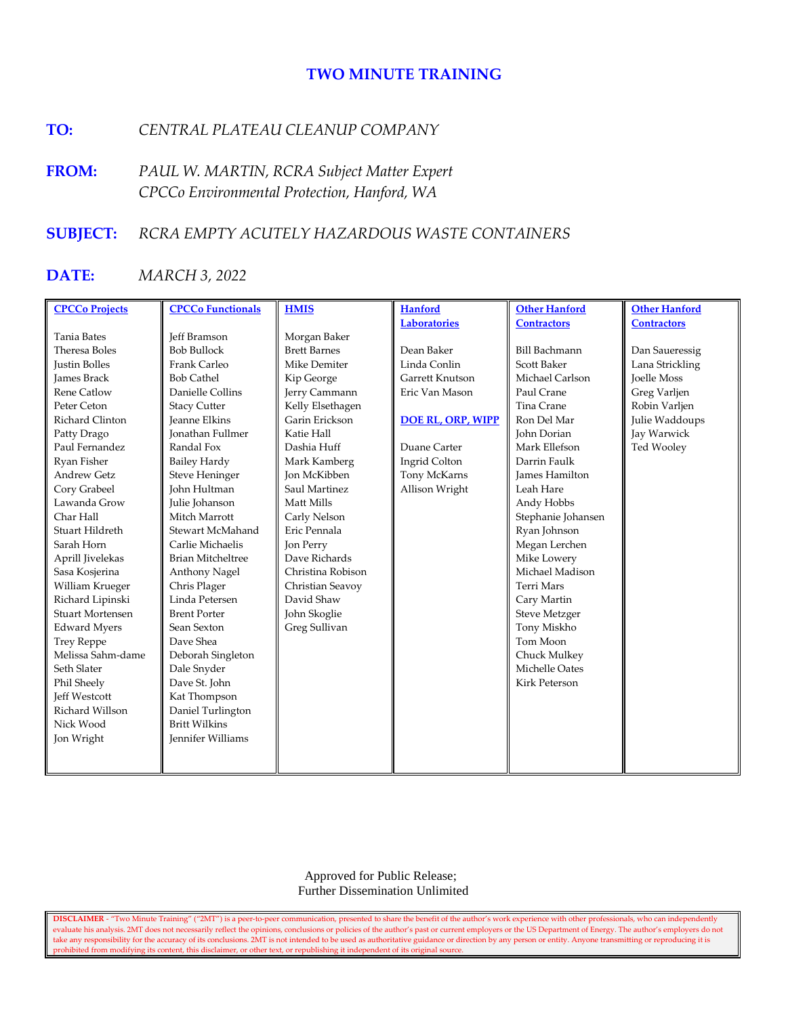# **TWO MINUTE TRAINING**

# **TO:** *CENTRAL PLATEAU CLEANUP COMPANY*

**FROM:** *PAUL W. MARTIN, RCRA Subject Matter Expert CPCCo Environmental Protection, Hanford, WA*

# **SUBJECT:** *RCRA EMPTY ACUTELY HAZARDOUS WASTE CONTAINERS*

# **DATE:** *MARCH 3, 2022*

| <b>CPCCo Projects</b>   | <b>CPCCo Functionals</b> | <b>HMIS</b>         | <b>Hanford</b>           | <b>Other Hanford</b>  | <b>Other Hanford</b> |
|-------------------------|--------------------------|---------------------|--------------------------|-----------------------|----------------------|
|                         |                          |                     | <b>Laboratories</b>      | <b>Contractors</b>    | <b>Contractors</b>   |
| <b>Tania Bates</b>      | Jeff Bramson             | Morgan Baker        |                          |                       |                      |
| Theresa Boles           | <b>Bob Bullock</b>       | <b>Brett Barnes</b> | Dean Baker               | <b>Bill Bachmann</b>  | Dan Saueressig       |
| <b>Justin Bolles</b>    | Frank Carleo             | Mike Demiter        | Linda Conlin             | <b>Scott Baker</b>    | Lana Strickling      |
| James Brack             | <b>Bob Cathel</b>        | Kip George          | Garrett Knutson          | Michael Carlson       | <b>Joelle Moss</b>   |
| <b>Rene Catlow</b>      | Danielle Collins         | Jerry Cammann       | Eric Van Mason           | Paul Crane            | Greg Varljen         |
| Peter Ceton             | <b>Stacy Cutter</b>      | Kelly Elsethagen    |                          | Tina Crane            | Robin Varljen        |
| Richard Clinton         | <b>Jeanne Elkins</b>     | Garin Erickson      | <b>DOE RL, ORP, WIPP</b> | Ron Del Mar           | Julie Waddoups       |
| Patty Drago             | Jonathan Fullmer         | Katie Hall          |                          | John Dorian           | Jay Warwick          |
| Paul Fernandez          | Randal Fox               | Dashia Huff         | Duane Carter             | Mark Ellefson         | Ted Wooley           |
| Ryan Fisher             | <b>Bailey Hardy</b>      | Mark Kamberg        | <b>Ingrid Colton</b>     | Darrin Faulk          |                      |
| <b>Andrew Getz</b>      | <b>Steve Heninger</b>    | <b>Ion McKibben</b> | Tony McKarns             | <b>James Hamilton</b> |                      |
| Cory Grabeel            | John Hultman             | Saul Martinez       | Allison Wright           | Leah Hare             |                      |
| Lawanda Grow            | Julie Johanson           | Matt Mills          |                          | Andy Hobbs            |                      |
| Char Hall               | Mitch Marrott            | Carly Nelson        |                          | Stephanie Johansen    |                      |
| Stuart Hildreth         | Stewart McMahand         | Eric Pennala        |                          | Ryan Johnson          |                      |
| Sarah Horn              | Carlie Michaelis         | Jon Perry           |                          | Megan Lerchen         |                      |
| Aprill Jivelekas        | <b>Brian Mitcheltree</b> | Dave Richards       |                          | Mike Lowery           |                      |
| Sasa Kosjerina          | Anthony Nagel            | Christina Robison   |                          | Michael Madison       |                      |
| William Krueger         | Chris Plager             | Christian Seavoy    |                          | <b>Terri Mars</b>     |                      |
| Richard Lipinski        | Linda Petersen           | David Shaw          |                          | Cary Martin           |                      |
| <b>Stuart Mortensen</b> | <b>Brent Porter</b>      | John Skoglie        |                          | <b>Steve Metzger</b>  |                      |
| <b>Edward Myers</b>     | Sean Sexton              | Greg Sullivan       |                          | Tony Miskho           |                      |
| <b>Trey Reppe</b>       | Dave Shea                |                     |                          | Tom Moon              |                      |
| Melissa Sahm-dame       | Deborah Singleton        |                     |                          | Chuck Mulkey          |                      |
| Seth Slater             | Dale Snyder              |                     |                          | Michelle Oates        |                      |
| Phil Sheely             | Dave St. John            |                     |                          | Kirk Peterson         |                      |
| <b>Jeff Westcott</b>    | Kat Thompson             |                     |                          |                       |                      |
| Richard Willson         | Daniel Turlington        |                     |                          |                       |                      |
| Nick Wood               | <b>Britt Wilkins</b>     |                     |                          |                       |                      |
| Jon Wright              | Jennifer Williams        |                     |                          |                       |                      |
|                         |                          |                     |                          |                       |                      |
|                         |                          |                     |                          |                       |                      |

 Approved for Public Release; Further Dissemination Unlimited

**DISCLAIMER** - "Two Minute Training" ("2MT") is a peer-to-peer communication, presented to share the benefit of the author's work experience with other professionals, who can independently evaluate his analysis. 2MT does not necessarily reflect the opinions, conclusions or policies of the author's past or current employers or the US Department of Energy. The author's employers do not take any responsibility for the accuracy of its conclusions. 2MT is not intended to be used as authoritative guidance or direction by any person or entity. Anyone transmitting or reproducing it is prohibited from modifying its content, this disclaimer, or other text, or republishing it independent of its original source.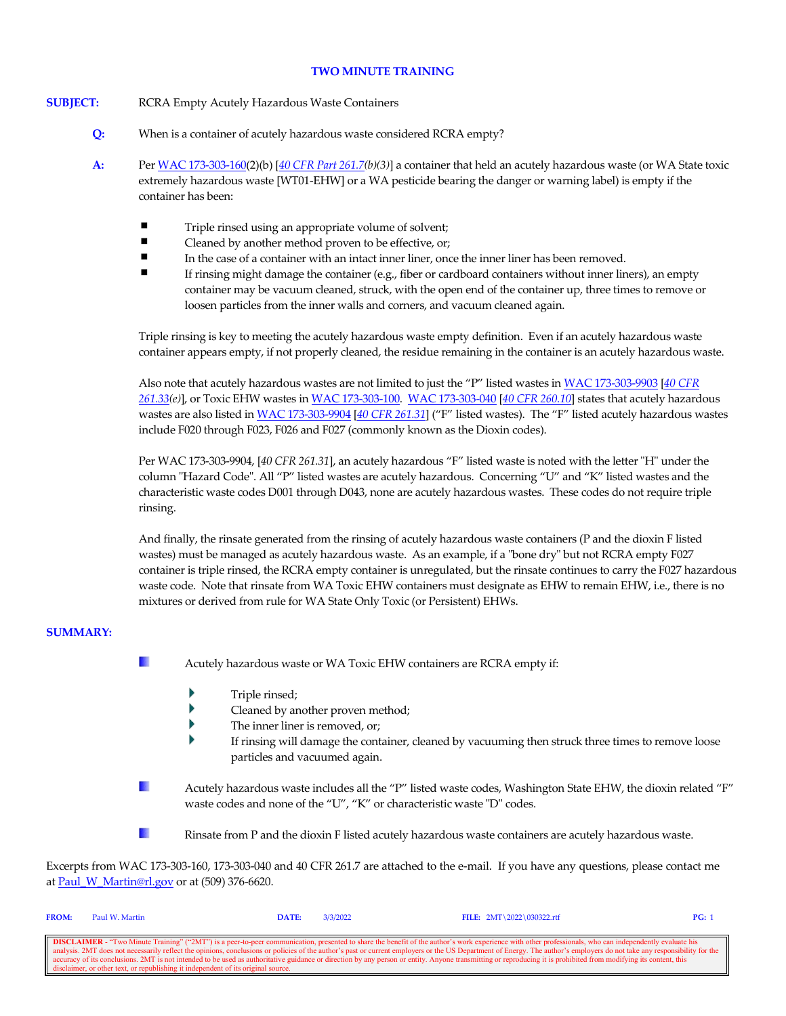### **TWO MINUTE TRAINING**

#### **SUBJECT:** RCRA Empty Acutely Hazardous Waste Containers

- **Q:** When is a container of acutely hazardous waste considered RCRA empty?
- **A:** Pe[r WAC 173-303-160\(](http://apps.leg.wa.gov/wac/default.aspx?cite=173-303-160)2)(b) [*[40 CFR Part 261.7\(](https://www.govinfo.gov/content/pkg/CFR-2021-title40-vol28/xml/CFR-2021-title40-vol28-sec261-7.xml)b)(3)*] a container that held an acutely hazardous waste (or WA State toxic extremely hazardous waste [WT01-EHW] or a WA pesticide bearing the danger or warning label) is empty if the container has been:
	- $\blacksquare$ Triple rinsed using an appropriate volume of solvent;
	- $\blacksquare$ Cleaned by another method proven to be effective, or;
	- $\blacksquare$ In the case of a container with an intact inner liner, once the inner liner has been removed.
	- If rinsing might damage the container (e.g., fiber or cardboard containers without inner liners), an empty container may be vacuum cleaned, struck, with the open end of the container up, three times to remove or loosen particles from the inner walls and corners, and vacuum cleaned again.

Triple rinsing is key to meeting the acutely hazardous waste empty definition. Even if an acutely hazardous waste container appears empty, if not properly cleaned, the residue remaining in the container is an acutely hazardous waste.

Also note that acutely hazardous wastes are not limited to just the "P" listed wastes i[n WAC 173-303-9903](http://apps.leg.wa.gov/wac/default.aspx?cite=173-303-9903) [*[40 CFR](https://www.govinfo.gov/content/pkg/CFR-2021-title40-vol28/xml/CFR-2021-title40-vol28-sec261-33.xml)  [261.33\(](https://www.govinfo.gov/content/pkg/CFR-2021-title40-vol28/xml/CFR-2021-title40-vol28-sec261-33.xml)e)*], or Toxic EHW wastes i[n WAC 173-303-100.](https://app.leg.wa.gov/WAC/default.aspx?cite=173-303-100) [WAC 173-303-040](http://apps.leg.wa.gov/wac/default.aspx?cite=173-303-040) [*[40 CFR 260.10](https://www.govinfo.gov/content/pkg/CFR-2021-title40-vol28/xml/CFR-2021-title40-vol28-sec260-10.xml)*] states that acutely hazardous wastes are also listed i[n WAC 173-303-9904](http://apps.leg.wa.gov/wac/default.aspx?cite=173-303-9904) [*[40 CFR 261.31](https://www.govinfo.gov/content/pkg/CFR-2021-title40-vol28/xml/CFR-2021-title40-vol28-sec261-31.xml)*] ("F" listed wastes). The "F" listed acutely hazardous wastes include F020 through F023, F026 and F027 (commonly known as the Dioxin codes).

Per WAC 173-303-9904, [*40 CFR 261.31*], an acutely hazardous "F" listed waste is noted with the letter "H" under the column "Hazard Code". All "P" listed wastes are acutely hazardous. Concerning "U" and "K" listed wastes and the characteristic waste codes D001 through D043, none are acutely hazardous wastes. These codes do not require triple rinsing.

And finally, the rinsate generated from the rinsing of acutely hazardous waste containers (P and the dioxin F listed wastes) must be managed as acutely hazardous waste. As an example, if a "bone dry" but not RCRA empty F027 container is triple rinsed, the RCRA empty container is unregulated, but the rinsate continues to carry the F027 hazardous waste code. Note that rinsate from WA Toxic EHW containers must designate as EHW to remain EHW, i.e., there is no mixtures or derived from rule for WA State Only Toxic (or Persistent) EHWs.

## **SUMMARY:**

- **I** Acutely hazardous waste or WA Toxic EHW containers are RCRA empty if:
	- Triple rinsed;
	- b Cleaned by another proven method;
	- Þ The inner liner is removed, or;
	- If rinsing will damage the container, cleaned by vacuuming then struck three times to remove loose particles and vacuumed again.
- $\mathbb{R}^n$ Acutely hazardous waste includes all the "P" listed waste codes, Washington State EHW, the dioxin related "F" waste codes and none of the "U", "K" or characteristic waste "D" codes.
- **The Second** Rinsate from P and the dioxin F listed acutely hazardous waste containers are acutely hazardous waste.

Excerpts from WAC 173-303-160, 173-303-040 and 40 CFR 261.7 are attached to the e-mail. If you have any questions, please contact me a[t Paul\\_W\\_Martin@rl.gov](mailto:Paul_W_Martin@rl.gov?subject=Two%20Minute%20Training%20Question) or at (509) 376-6620.

| <b>FROM:</b>                                                                                                                                                                                                             | Paul W. Martin                                                                    | DATE: | 3/3/2022 | FILE: $2MT \ 2022 \ 030322.rtf$ | PG: |
|--------------------------------------------------------------------------------------------------------------------------------------------------------------------------------------------------------------------------|-----------------------------------------------------------------------------------|-------|----------|---------------------------------|-----|
|                                                                                                                                                                                                                          |                                                                                   |       |          |                                 |     |
| <b>DISCLAIMER</b> - "Two Minute Training" ("2MT") is a peer-to-peer communication, presented to share the benefit of the author's work experience with other professionals, who can independently evaluate his           |                                                                                   |       |          |                                 |     |
| analysis. 2MT does not necessarily reflect the opinions, conclusions or policies of the author's past or current employers or the US Department of Energy. The author's employers do not take any responsibility for the |                                                                                   |       |          |                                 |     |
| ccuracy of its conclusions. 2MT is not intended to be used as authoritative guidance or direction by any person or entity. Anyone transmitting or reproducing it is prohibited from modifying its content, this          |                                                                                   |       |          |                                 |     |
|                                                                                                                                                                                                                          | disclaimer, or other text, or republishing it independent of its original source. |       |          |                                 |     |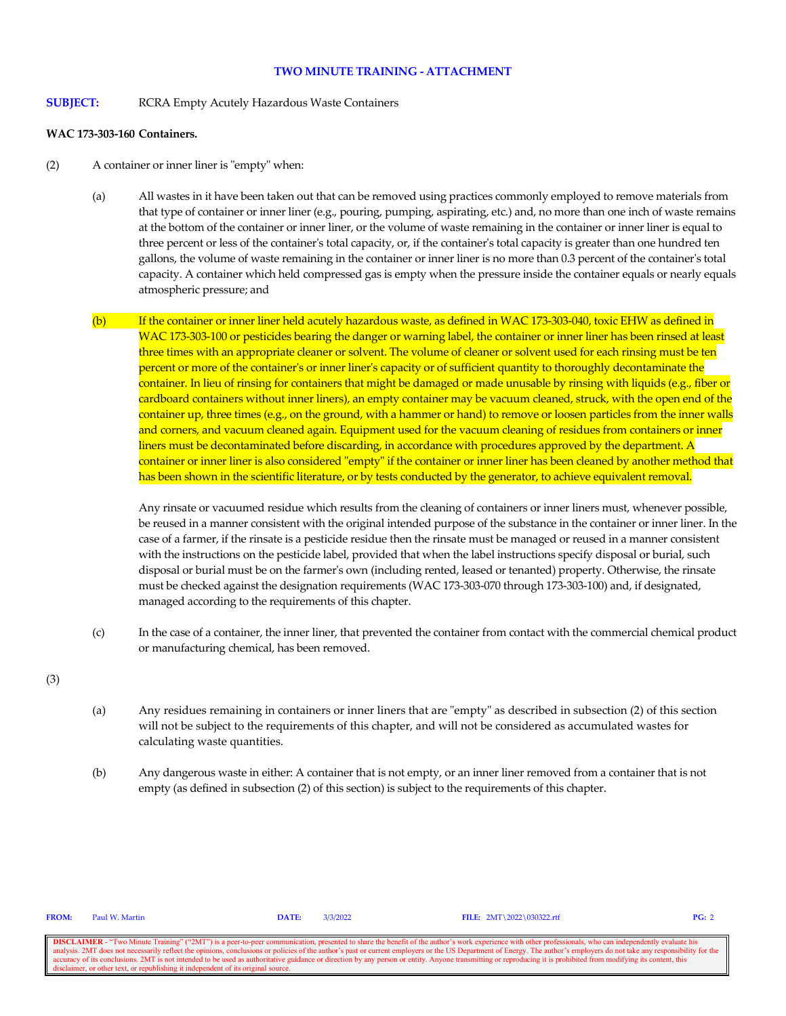#### **TWO MINUTE TRAINING - ATTACHMENT**

**SUBJECT:** RCRA Empty Acutely Hazardous Waste Containers

#### **WAC 173-303-160 Containers.**

- (2) A container or inner liner is "empty" when:
	- (a) All wastes in it have been taken out that can be removed using practices commonly employed to remove materials from that type of container or inner liner (e.g., pouring, pumping, aspirating, etc.) and, no more than one inch of waste remains at the bottom of the container or inner liner, or the volume of waste remaining in the container or inner liner is equal to three percent or less of the container's total capacity, or, if the container's total capacity is greater than one hundred ten gallons, the volume of waste remaining in the container or inner liner is no more than 0.3 percent of the container's total capacity. A container which held compressed gas is empty when the pressure inside the container equals or nearly equals atmospheric pressure; and
	- (b) If the container or inner liner held acutely hazardous waste, as defined in WAC 173-303-040, toxic EHW as defined in WAC 173-303-100 or pesticides bearing the danger or warning label, the container or inner liner has been rinsed at least three times with an appropriate cleaner or solvent. The volume of cleaner or solvent used for each rinsing must be ten percent or more of the container's or inner liner's capacity or of sufficient quantity to thoroughly decontaminate the container. In lieu of rinsing for containers that might be damaged or made unusable by rinsing with liquids (e.g., fiber or cardboard containers without inner liners), an empty container may be vacuum cleaned, struck, with the open end of the container up, three times (e.g., on the ground, with a hammer or hand) to remove or loosen particles from the inner walls and corners, and vacuum cleaned again. Equipment used for the vacuum cleaning of residues from containers or inner liners must be decontaminated before discarding, in accordance with procedures approved by the department. A container or inner liner is also considered "empty" if the container or inner liner has been cleaned by another method that has been shown in the scientific literature, or by tests conducted by the generator, to achieve equivalent removal.

Any rinsate or vacuumed residue which results from the cleaning of containers or inner liners must, whenever possible, be reused in a manner consistent with the original intended purpose of the substance in the container or inner liner. In the case of a farmer, if the rinsate is a pesticide residue then the rinsate must be managed or reused in a manner consistent with the instructions on the pesticide label, provided that when the label instructions specify disposal or burial, such disposal or burial must be on the farmer's own (including rented, leased or tenanted) property. Otherwise, the rinsate must be checked against the designation requirements (WAC 173-303-070 through 173-303-100) and, if designated, managed according to the requirements of this chapter.

(c) In the case of a container, the inner liner, that prevented the container from contact with the commercial chemical product or manufacturing chemical, has been removed.

(3)

- (a) Any residues remaining in containers or inner liners that are "empty" as described in subsection (2) of this section will not be subject to the requirements of this chapter, and will not be considered as accumulated wastes for calculating waste quantities.
- (b) Any dangerous waste in either: A container that is not empty, or an inner liner removed from a container that is not empty (as defined in subsection (2) of this section) is subject to the requirements of this chapter.

**DISCLAIMER** - "Two Minute Training" ("2MT") is a peer-to-peer communication, presented to share the benefit of the author's work experience with other professionals, who can independently evaluate his analysis. 2MT does n onclusions or policies of the author's past or current employers or the US Department of Energy. The author's employers do not take any resp accuracy of its conclusions. 2MT is not intended to be used as authoritative guidance or direction by any person or entity. Anyone transmitting or reproducing it is prohibited from modifying its content, this disclaimer, o

**FROM:** Paul W. Martin **DATE:** 3/3/2022 **FILE:** 2MT\2022\030322.rtf **PG:** 2